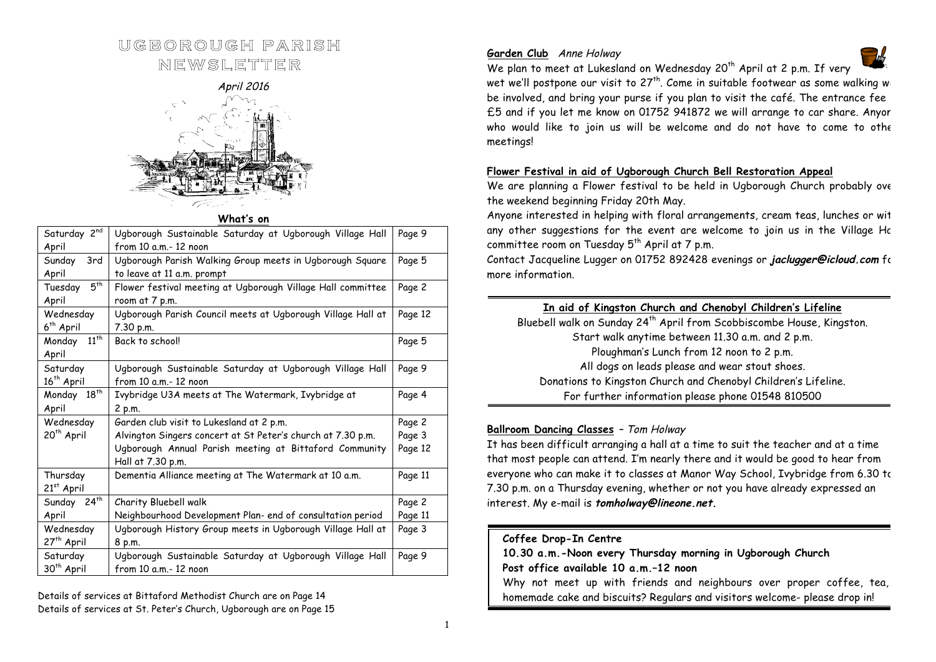# **UGBOROUGH PARISH**

**NEWSLETTER** 

April 2016



**What's on**

| Saturday 2 <sup>nd</sup><br>April  | Ugborough Sustainable Saturday at Ugborough Village Hall<br>Page 9<br>from 10 a.m. - 12 noon |         |  |
|------------------------------------|----------------------------------------------------------------------------------------------|---------|--|
| Sunday<br>3rd<br>April             | Ugborough Parish Walking Group meets in Ugborough Square<br>to leave at 11 a.m. prompt       |         |  |
| $5^{th}$<br>Tuesday<br>April       | Flower festival meeting at Ugborough Village Hall committee<br>room at 7 p.m.                |         |  |
| Wednesday<br>6 <sup>th</sup> April | Ugborough Parish Council meets at Ugborough Village Hall at<br>7.30 p.m.                     |         |  |
| $11^{th}$<br>Monday<br>April       | Back to school!                                                                              | Page 5  |  |
| Saturday<br>16 <sup>th</sup> April | Ugborough Sustainable Saturday at Ugborough Village Hall<br>from 10 a.m.- 12 noon            |         |  |
| Monday 18th<br>April               | Ivybridge U3A meets at The Watermark, Ivybridge at<br>2 p.m.                                 | Page 4  |  |
| Wednesday                          | Garden club visit to Lukesland at 2 p.m.                                                     | Page 2  |  |
| 20 <sup>th</sup> April             | Alvington Singers concert at St Peter's church at 7.30 p.m.                                  | Page 3  |  |
|                                    | Ugborough Annual Parish meeting at Bittaford Community<br>Hall at 7.30 p.m.                  | Page 12 |  |
| Thursday<br>$21st$ April           | Dementia Alliance meeting at The Watermark at 10 a.m.                                        |         |  |
| Sunday 24 <sup>th</sup>            | Charity Bluebell walk                                                                        | Page 2  |  |
| April                              | Neighbourhood Development Plan- end of consultation period                                   |         |  |
| Wednesday                          | Ugborough History Group meets in Ugborough Village Hall at                                   |         |  |
| 27 <sup>th</sup> April             | 8 p.m.                                                                                       |         |  |
| Saturday<br>30 <sup>th</sup> April | Ugborough Sustainable Saturday at Ugborough Village Hall<br>from 10 a.m. - 12 noon           |         |  |
|                                    |                                                                                              |         |  |

Details of services at Bittaford Methodist Church are on Page 14 Details of services at St. Peter's Church, Ugborough are on Page 15

# **Garden Club** Anne Holway



We plan to meet at Lukesland on Wednesday 20<sup>th</sup> April at 2 p.m. If very wet we'll postpone our visit to  $27<sup>th</sup>$ . Come in suitable footwear as some walking will be involved, and bring your purse if you plan to visit the café. The entrance fee £5 and if you let me know on 01752 941872 we will arrange to car share. Anyor who would like to join us will be welcome and do not have to come to other meetings!

## **Flower Festival in aid of Ugborough Church Bell Restoration Appeal**

We are planning a Flower festival to be held in Ugborough Church probably over the weekend beginning Friday 20th May.

Anyone interested in helping with floral arrangements, cream teas, lunches or with any other suggestions for the event are welcome to join us in the Village Hc committee room on Tuesday  $5^{th}$  April at 7 p.m.

Contact Jacqueline Lugger on 01752 892428 evenings or **jaclugger@icloud.com** for more information.

# **In aid of Kingston Church and Chenobyl Children's Lifeline**

Bluebell walk on Sunday 24<sup>th</sup> April from Scobbiscombe House, Kingston. Start walk anytime between 11.30 a.m. and 2 p.m. Ploughman's Lunch from 12 noon to 2 p.m. All dogs on leads please and wear stout shoes. Donations to Kingston Church and Chenobyl Children's Lifeline. For further information please phone 01548 810500

# **Ballroom Dancing Classes** – Tom Holway

It has been difficult arranging a hall at a time to suit the teacher and at a time that most people can attend. I'm nearly there and it would be good to hear from everyone who can make it to classes at Manor Way School, Ivybridge from 6.30 to 7.30 p.m. on a Thursday evening, whether or not you have already expressed an interest. My e-mail is **tomholway@lineone.net.**

## **Coffee Drop-In Centre**

**10.30 a.m.-Noon every Thursday morning in Ugborough Church Post office available 10 a.m.–12 noon** Why not meet up with friends and neighbours over proper coffee, tea, homemade cake and biscuits? Regulars and visitors welcome- please drop in!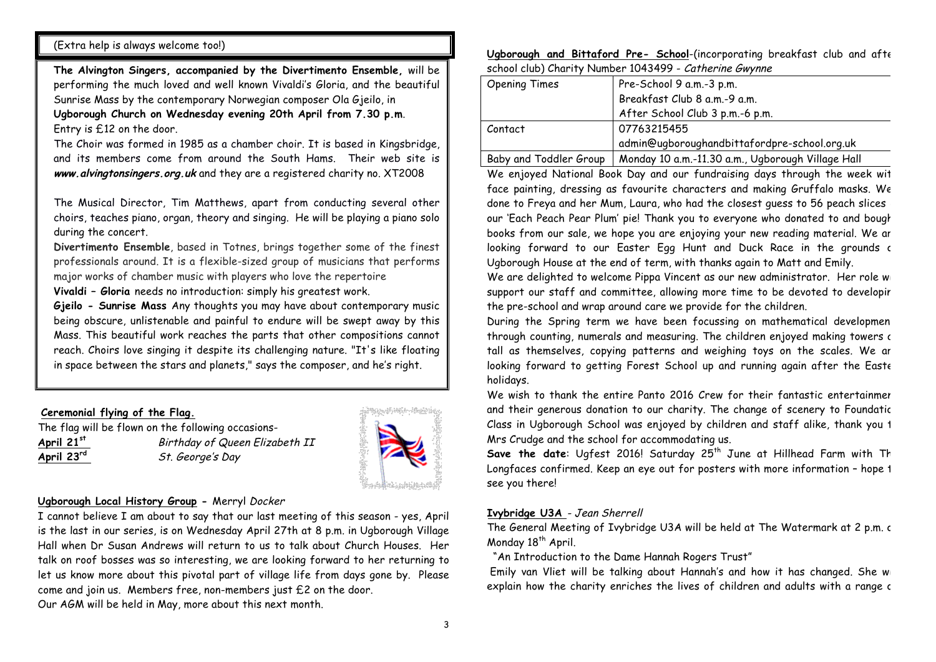## (Extra help is always welcome too!)

**The Alvington Singers, accompanied by the Divertimento Ensemble,** will be performing the much loved and well known Vivaldi's Gloria, and the beautiful Sunrise Mass by the contemporary Norwegian composer Ola Gjeilo, in **Ugborough Church on Wednesday evening 20th April from 7.30 p.m**. Entry is £12 on the door.

The Choir was formed in 1985 as a chamber choir. It is based in Kingsbridge, and its members come from around the South Hams. Their web site is **www.alvingtonsingers.org.uk** and they are a registered charity no. XT2008

The Musical Director, Tim Matthews, apart from conducting several other choirs, teaches piano, organ, theory and singing. He will be playing a piano solo during the concert.

**Divertimento Ensemble**, based in Totnes, brings together some of the finest professionals around. It is a flexible-sized group of musicians that performs major works of chamber music with players who love the repertoire

**Vivaldi – Gloria** needs no introduction: simply his greatest work.

**Gjeilo - Sunrise Mass** Any thoughts you may have about contemporary music being obscure, unlistenable and painful to endure will be swept away by this Mass. This beautiful work reaches the parts that other compositions cannot reach. Choirs love singing it despite its challenging nature. "It's like floating in space between the stars and planets," says the composer, and he's right.

## **Ceremonial flying of the Flag.**

The flag will be flown on the following occasions-**April 21st** Birthday of Queen Elizabeth II **April 23rd** St. George's Day



#### **Ugborough Local History Group -** Merryl Docker

I cannot believe I am about to say that our last meeting of this season - yes, April is the last in our series, is on Wednesday April 27th at 8 p.m. in Ugborough Village Hall when Dr Susan Andrews will return to us to talk about Church Houses. Her talk on roof bosses was so interesting, we are looking forward to her returning to let us know more about this pivotal part of village life from days gone by. Please come and join us. Members free, non-members just £2 on the door. Our AGM will be held in May, more about this next month.

**Ugborough and Bittaford Pre- School**-(incorporating breakfast club and after school club) Charity Number 1043499 - Catherine Gwynne

| <b>Opening Times</b>   | Pre-School 9 a.m.-3 p.m.                          |
|------------------------|---------------------------------------------------|
|                        | Breakfast Club 8 a.m.-9 a.m.                      |
|                        | After School Club 3 p.m.-6 p.m.                   |
| Contact                | 07763215455                                       |
|                        | admin@uqborouqhandbittafordpre-school.org.uk      |
| Baby and Toddler Group | Monday 10 a.m.-11.30 a.m., Ugborough Village Hall |

We enjoyed National Book Day and our fundraising days through the week wit face painting, dressing as favourite characters and making Gruffalo masks. We done to Freya and her Mum, Laura, who had the closest guess to 56 peach slices our 'Each Peach Pear Plum' pie! Thank you to everyone who donated to and bought books from our sale, we hope you are enjoying your new reading material. We are looking forward to our Easter Egg Hunt and Duck Race in the grounds of Ugborough House at the end of term, with thanks again to Matt and Emily.

We are delighted to welcome Pippa Vincent as our new administrator. Her role will support our staff and committee, allowing more time to be devoted to developir the pre-school and wrap around care we provide for the children.

During the Spring term we have been focussing on mathematical developmen through counting, numerals and measuring. The children enjoyed making towers as tall as themselves, copying patterns and weighing toys on the scales. We ar looking forward to getting Forest School up and running again after the Easte holidays.

We wish to thank the entire Panto 2016 Crew for their fantastic entertainmer and their generous donation to our charity. The change of scenery to Foundatic Class in Ugborough School was enjoyed by children and staff alike, thank you to Mrs Crudge and the school for accommodating us.

Save the date: Ugfest 2016! Saturday 25<sup>th</sup> June at Hillhead Farm with Th Longfaces confirmed. Keep an eye out for posters with more information - hope 1 see you there!

#### **Ivybridge U3A** - Jean Sherrell

The General Meeting of Ivybridge U3A will be held at The Watermark at 2 p.m. c Monday 18<sup>th</sup> April.

"An Introduction to the Dame Hannah Rogers Trust"

Emily van Vliet will be talking about Hannah's and how it has changed. She will explain how the charity enriches the lives of children and adults with a range c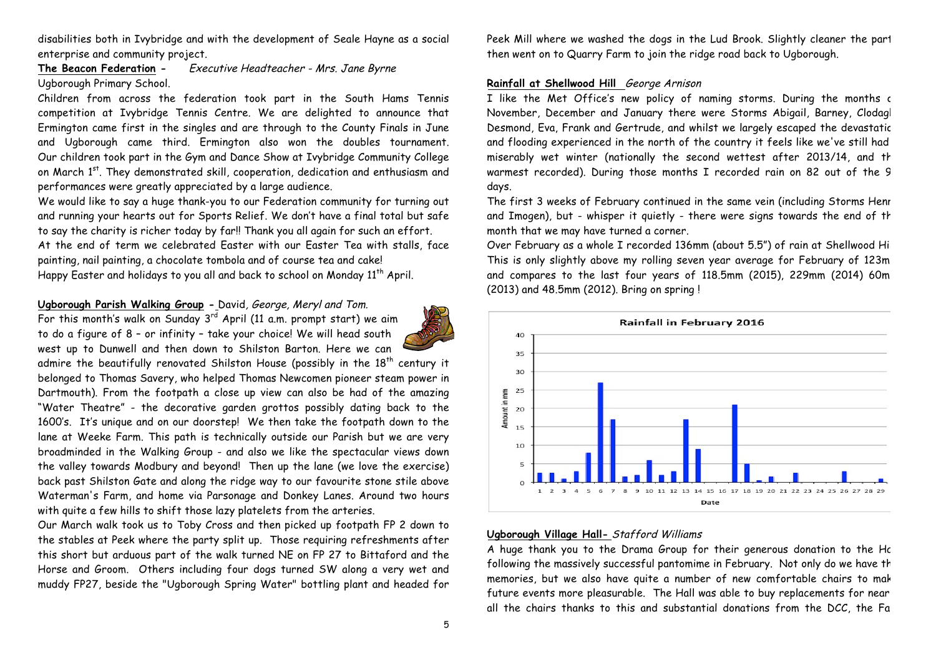disabilities both in Ivybridge and with the development of Seale Hayne as a social enterprise and community project.

# **The Beacon Federation -** Executive Headteacher - Mrs. Jane Byrne Ugborough Primary School.

Children from across the federation took part in the South Hams Tennis competition at Ivybridge Tennis Centre. We are delighted to announce that Ermington came first in the singles and are through to the County Finals in June and Ugborough came third. Ermington also won the doubles tournament. Our children took part in the Gym and Dance Show at Ivybridge Community College on March 1<sup>st</sup>. They demonstrated skill, cooperation, dedication and enthusiasm and performances were greatly appreciated by a large audience.

We would like to say a huge thank-you to our Federation community for turning out and running your hearts out for Sports Relief. We don't have a final total but safe to say the charity is richer today by far!! Thank you all again for such an effort. At the end of term we celebrated Easter with our Easter Tea with stalls, face painting, nail painting, a chocolate tombola and of course tea and cake! Happy Easter and holidays to you all and back to school on Monday 11<sup>th</sup> April.

#### **Ugborough Parish Walking Group -** David, George, Meryl and Tom.

For this month's walk on Sunday  $3^{rd}$  April (11 a.m. prompt start) we aim to do a figure of 8 – or infinity – take your choice! We will head south west up to Dunwell and then down to Shilston Barton. Here we can

admire the beautifully renovated Shilston House (possibly in the  $18<sup>th</sup>$  century it belonged to Thomas Savery, who helped Thomas Newcomen pioneer steam power in Dartmouth). From the footpath a close up view can also be had of the amazing "Water Theatre" - the decorative garden grottos possibly dating back to the 1600's. It's unique and on our doorstep! We then take the footpath down to the lane at Weeke Farm. This path is technically outside our Parish but we are very broadminded in the Walking Group - and also we like the spectacular views down the valley towards Modbury and beyond! Then up the lane (we love the exercise) back past Shilston Gate and along the ridge way to our favourite stone stile above Waterman's Farm, and home via Parsonage and Donkey Lanes. Around two hours with quite a few hills to shift those lazy platelets from the arteries.

Our March walk took us to Toby Cross and then picked up footpath FP 2 down to the stables at Peek where the party split up. Those requiring refreshments after this short but arduous part of the walk turned NE on FP 27 to Bittaford and the Horse and Groom. Others including four dogs turned SW along a very wet and muddy FP27, beside the "Ugborough Spring Water" bottling plant and headed for

Peek Mill where we washed the dogs in the Lud Brook. Slightly cleaner the part then went on to Quarry Farm to join the ridge road back to Ugborough.

## **Rainfall at Shellwood Hill** George Arnison

I like the Met Office's new policy of naming storms. During the months c November, December and January there were Storms Abigail, Barney, Clodagh, Desmond, Eva, Frank and Gertrude, and whilst we largely escaped the devastatic and flooding experienced in the north of the country it feels like we've still had miserably wet winter (nationally the second wettest after 2013/14, and th warmest recorded). During those months I recorded rain on 82 out of the 9 days.

The first 3 weeks of February continued in the same vein (including Storms Henr and Imogen), but - whisper it quietly - there were signs towards the end of the month that we may have turned a corner.

Over February as a whole I recorded 136mm (about 5.5") of rain at Shellwood Hill. This is only slightly above my rolling seven year average for February of 123m and compares to the last four years of 118.5mm (2015), 229mm (2014) 60m (2013) and 48.5mm (2012). Bring on spring !



#### **Ugborough Village Hall-** Stafford Williams

A huge thank you to the Drama Group for their generous donation to the Hc following the massively successful pantomime in February. Not only do we have th memories, but we also have quite a number of new comfortable chairs to mak future events more pleasurable. The Hall was able to buy replacements for near all the chairs thanks to this and substantial donations from the DCC, the Fa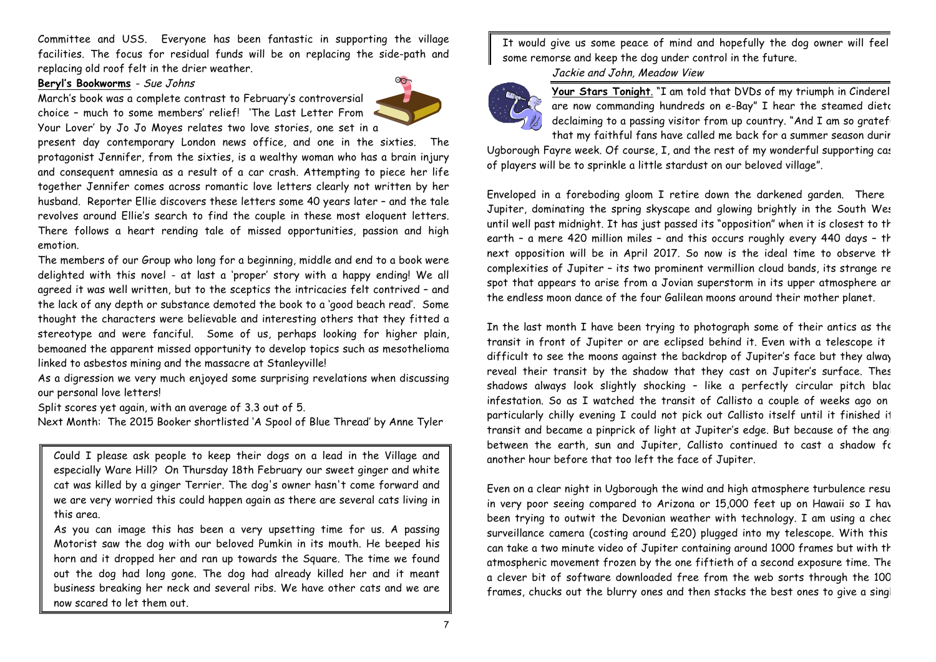Committee and USS. Everyone has been fantastic in supporting the village facilities. The focus for residual funds will be on replacing the side-path and replacing old roof felt in the drier weather.

## **Beryl's Bookworms** - Sue Johns

March's book was a complete contrast to February's controversial choice – much to some members' relief! 'The Last Letter From Your Lover' by Jo Jo Moyes relates two love stories, one set in a



present day contemporary London news office, and one in the sixties. The protagonist Jennifer, from the sixties, is a wealthy woman who has a brain injury and consequent amnesia as a result of a car crash. Attempting to piece her life together Jennifer comes across romantic love letters clearly not written by her husband. Reporter Ellie discovers these letters some 40 years later – and the tale revolves around Ellie's search to find the couple in these most eloquent letters. There follows a heart rending tale of missed opportunities, passion and high emotion.

The members of our Group who long for a beginning, middle and end to a book were delighted with this novel - at last a 'proper' story with a happy ending! We all agreed it was well written, but to the sceptics the intricacies felt contrived – and the lack of any depth or substance demoted the book to a 'good beach read'. Some thought the characters were believable and interesting others that they fitted a stereotype and were fanciful. Some of us, perhaps looking for higher plain, bemoaned the apparent missed opportunity to develop topics such as mesothelioma linked to asbestos mining and the massacre at Stanleyville!

As a digression we very much enjoyed some surprising revelations when discussing our personal love letters!

Split scores yet again, with an average of 3.3 out of 5.

Next Month: The 2015 Booker shortlisted 'A Spool of Blue Thread' by Anne Tyler

Could I please ask people to keep their dogs on a lead in the Village and especially Ware Hill? On Thursday 18th February our sweet ginger and white cat was killed by a ginger Terrier. The dog's owner hasn't come forward and we are very worried this could happen again as there are several cats living in this area.

As you can image this has been a very upsetting time for us. A passing Motorist saw the dog with our beloved Pumkin in its mouth. He beeped his horn and it dropped her and ran up towards the Square. The time we found out the dog had long gone. The dog had already killed her and it meant business breaking her neck and several ribs. We have other cats and we are now scared to let them out.

It would give us some peace of mind and hopefully the dog owner will feel some remorse and keep the dog under control in the future.

Jackie and John, Meadow View



Your Stars Tonight. "I am told that DVDs of my triumph in Cinderel are now commanding hundreds on e-Bay" I hear the steamed dietor declaiming to a passing visitor from up country. "And I am so gratefy that my faithful fans have called me back for a summer season durir

Ugborough Fayre week. Of course, I, and the rest of my wonderful supporting cast of players will be to sprinkle a little stardust on our beloved village".

Enveloped in a foreboding gloom I retire down the darkened garden. There Jupiter, dominating the spring skyscape and glowing brightly in the South West until well past midnight. It has just passed its "opposition" when it is closest to the earth - a mere 420 million miles - and this occurs roughly every 440 days - th next opposition will be in April 2017. So now is the ideal time to observe th complexities of Jupiter - its two prominent vermillion cloud bands, its strange re spot that appears to arise from a Jovian superstorm in its upper atmosphere an the endless moon dance of the four Galilean moons around their mother planet.

In the last month I have been trying to photograph some of their antics as the transit in front of Jupiter or are eclipsed behind it. Even with a telescope it difficult to see the moons against the backdrop of Jupiter's face but they alway reveal their transit by the shadow that they cast on Jupiter's surface. Thes shadows always look slightly shocking - like a perfectly circular pitch blac infestation. So as I watched the transit of Callisto a couple of weeks ago on a particularly chilly evening I could not pick out Callisto itself until it finished it transit and became a pinprick of light at Jupiter's edge. But because of the angle between the earth, sun and Jupiter, Callisto continued to cast a shadow for another hour before that too left the face of Jupiter.

Even on a clear night in Ugborough the wind and high atmosphere turbulence result in very poor seeing compared to Arizona or 15,000 feet up on Hawaii so I have been trying to outwit the Devonian weather with technology. I am using a chec surveillance camera (costing around £20) plugged into my telescope. With this can take a two minute video of Jupiter containing around 1000 frames but with th atmospheric movement frozen by the one fiftieth of a second exposure time. The a clever bit of software downloaded free from the web sorts through the 100 frames, chucks out the blurry ones and then stacks the best ones to give a singl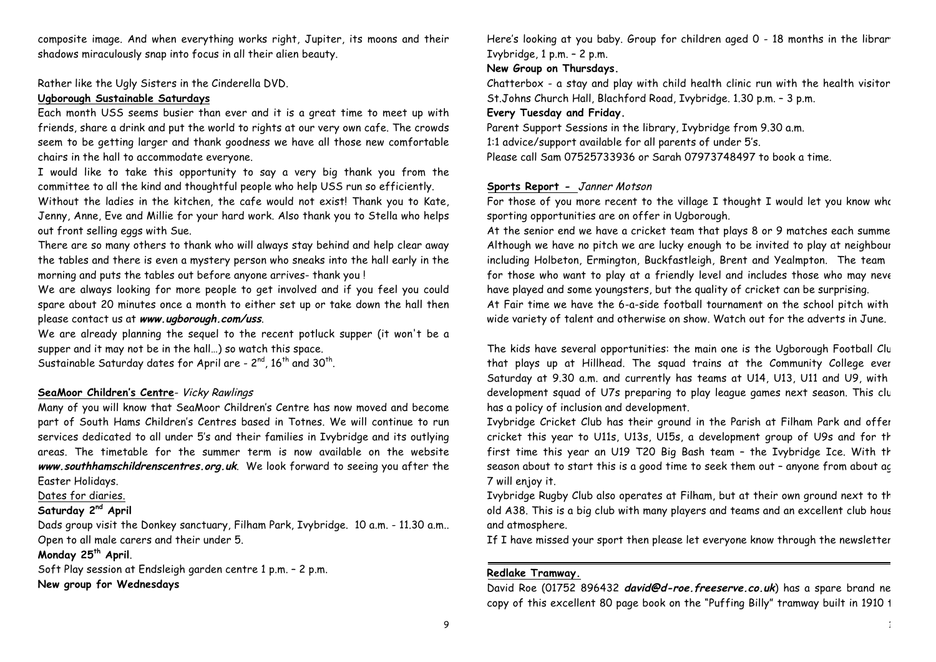composite image. And when everything works right, Jupiter, its moons and their shadows miraculously snap into focus in all their alien beauty.

Rather like the Ugly Sisters in the Cinderella DVD.

## **Ugborough Sustainable Saturdays**

Each month USS seems busier than ever and it is a great time to meet up with friends, share a drink and put the world to rights at our very own cafe. The crowds seem to be getting larger and thank goodness we have all those new comfortable chairs in the hall to accommodate everyone.

I would like to take this opportunity to say a very big thank you from the committee to all the kind and thoughtful people who help USS run so efficiently.

Without the ladies in the kitchen, the cafe would not exist! Thank you to Kate, Jenny, Anne, Eve and Millie for your hard work. Also thank you to Stella who helps out front selling eggs with Sue.

There are so many others to thank who will always stay behind and help clear away the tables and there is even a mystery person who sneaks into the hall early in the morning and puts the tables out before anyone arrives- thank you !

We are always looking for more people to get involved and if you feel you could spare about 20 minutes once a month to either set up or take down the hall then please contact us at **www.ugborough.com/uss**.

We are already planning the sequel to the recent potluck supper (it won't be a supper and it may not be in the hall…) so watch this space.

Sustainable Saturday dates for April are -  $2^{nd}$ ,  $16^{th}$  and  $30^{th}$ .

# **SeaMoor Children's Centre**- Vicky Rawlings

Many of you will know that SeaMoor Children's Centre has now moved and become part of South Hams Children's Centres based in Totnes. We will continue to run services dedicated to all under 5's and their families in Ivybridge and its outlying areas. The timetable for the summer term is now available on the website **www.southhamschildrenscentres.org.uk**. We look forward to seeing you after the Easter Holidays.

Dates for diaries.

## **Saturday 2nd April**

Dads group visit the Donkey sanctuary, Filham Park, Ivybridge. 10 a.m. - 11.30 a.m.. Open to all male carers and their under 5.

## **Monday 25th April**.

Soft Play session at Endsleigh garden centre 1 p.m. – 2 p.m. **New group for Wednesdays**

Here's looking at you baby. Group for children aged 0 - 18 months in the librar Ivybridge, 1 p.m. – 2 p.m.

## **New Group on Thursdays.**

Chatterbox - a stay and play with child health clinic run with the health visitor. St.Johns Church Hall, Blachford Road, Ivybridge. 1.30 p.m. – 3 p.m.

## **Every Tuesday and Friday.**

Parent Support Sessions in the library, Ivybridge from 9.30 a.m. 1:1 advice/support available for all parents of under 5's. Please call Sam 07525733936 or Sarah 07973748497 to book a time.

## **Sports Report -** Janner Motson

For those of you more recent to the village I thought I would let you know who sporting opportunities are on offer in Ugborough.

At the senior end we have a cricket team that plays 8 or 9 matches each summe Although we have no pitch we are lucky enough to be invited to play at neighbour including Holbeton, Ermington, Buckfastleigh, Brent and Yealmpton. The team for those who want to play at a friendly level and includes those who may neve have played and some youngsters, but the quality of cricket can be surprising. At Fair time we have the 6-a-side football tournament on the school pitch with wide variety of talent and otherwise on show. Watch out for the adverts in June.

The kids have several opportunities: the main one is the Ugborough Football Club that plays up at Hillhead. The squad trains at the Community College ever Saturday at 9.30 a.m. and currently has teams at U14, U13, U11 and U9, with a development squad of U7s preparing to play league games next season. This club has a policy of inclusion and development.

Ivybridge Cricket Club has their ground in the Parish at Filham Park and offers cricket this year to U11s, U13s, U15s, a development group of U9s and for th first time this year an U19 T20 Big Bash team - the Ivybridge Ice. With the season about to start this is a good time to seek them out – anyone from about age 7 will enjoy it.

Ivybridge Rugby Club also operates at Filham, but at their own ground next to the old A38. This is a big club with many players and teams and an excellent club hous and atmosphere.

If I have missed your sport then please let everyone know through the newsletter.

## **Redlake Tramway.**

David Roe (01752 896432 **david@d-roe.freeserve.co.uk**) has a spare brand new copy of this excellent 80 page book on the "Puffing Billy" tramway built in 1910 1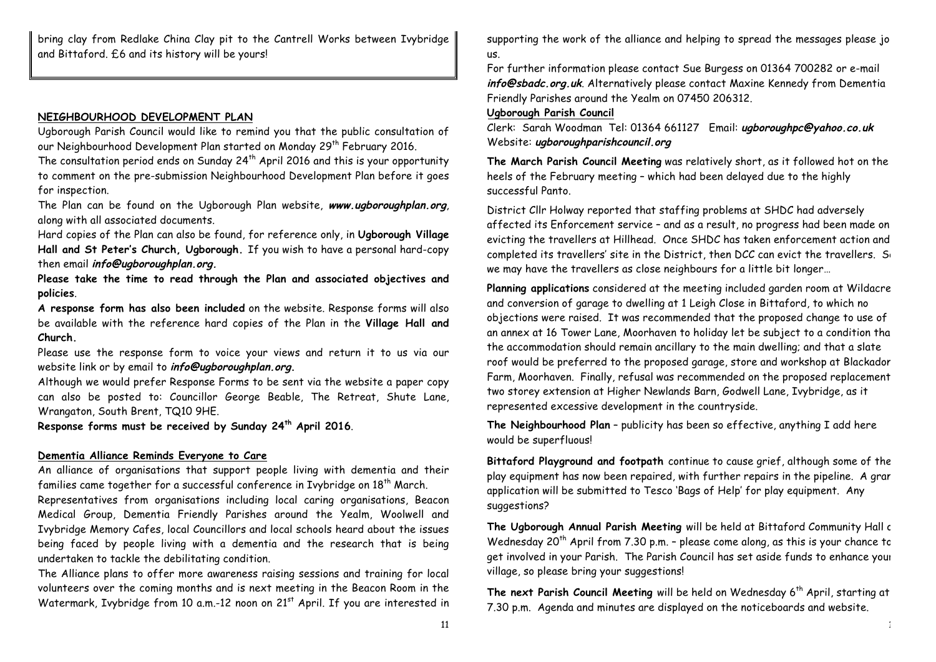bring clay from Redlake China Clay pit to the Cantrell Works between Ivybridge and Bittaford. £6 and its history will be yours!

#### **NEIGHBOURHOOD DEVELOPMENT PLAN**

Ugborough Parish Council would like to remind you that the public consultation of our Neighbourhood Development Plan started on Monday 29<sup>th</sup> February 2016.

The consultation period ends on Sunday  $24<sup>th</sup>$  April 2016 and this is your opportunity to comment on the pre-submission Neighbourhood Development Plan before it goes for inspection.

The Plan can be found on the Ugborough Plan website, **www.ugboroughplan.org**, along with all associated documents.

Hard copies of the Plan can also be found, for reference only, in **Ugborough Village Hall and St Peter's Church, Ugborough.** If you wish to have a personal hard-copy then email **info@ugboroughplan.org.**

**Please take the time to read through the Plan and associated objectives and policies**.

**A response form has also been included** on the website. Response forms will also be available with the reference hard copies of the Plan in the **Village Hall and Church.**

Please use the response form to voice your views and return it to us via our website link or by email to **info@ugboroughplan.org.**

Although we would prefer Response Forms to be sent via the website a paper copy can also be posted to: Councillor George Beable, The Retreat, Shute Lane, Wrangaton, South Brent, TQ10 9HE.

**Response forms must be received by Sunday 24th April 2016**.

#### **Dementia Alliance Reminds Everyone to Care**

An alliance of organisations that support people living with dementia and their families came together for a successful conference in Ivybridge on 18<sup>th</sup> March.

Representatives from organisations including local caring organisations, Beacon Medical Group, Dementia Friendly Parishes around the Yealm, Woolwell and Ivybridge Memory Cafes, local Councillors and local schools heard about the issues being faced by people living with a dementia and the research that is being undertaken to tackle the debilitating condition.

The Alliance plans to offer more awareness raising sessions and training for local volunteers over the coming months and is next meeting in the Beacon Room in the Watermark, Ivybridge from 10 a.m.-12 noon on 21<sup>st</sup> April. If you are interested in supporting the work of the alliance and helping to spread the messages please joint us.

For further information please contact Sue Burgess on 01364 700282 or e-mail **info@sbadc.org.uk**. Alternatively please contact Maxine Kennedy from Dementia Friendly Parishes around the Yealm on 07450 206312.

#### **Ugborough Parish Council**

Clerk: Sarah Woodman Tel: 01364 661127 Email: **ugboroughpc@yahoo.co.uk** Website: **ugboroughparishcouncil.org**

**The March Parish Council Meeting** was relatively short, as it followed hot on the heels of the February meeting – which had been delayed due to the highly successful Panto.

District Cllr Holway reported that staffing problems at SHDC had adversely affected its Enforcement service – and as a result, no progress had been made on evicting the travellers at Hillhead. Once SHDC has taken enforcement action and completed its travellers' site in the District, then DCC can evict the travellers. So we may have the travellers as close neighbours for a little bit longer…

Planning applications considered at the meeting included garden room at Wildacre and conversion of garage to dwelling at 1 Leigh Close in Bittaford, to which no objections were raised. It was recommended that the proposed change to use of an annex at 16 Tower Lane, Moorhaven to holiday let be subject to a condition tha the accommodation should remain ancillary to the main dwelling; and that a slate roof would be preferred to the proposed garage, store and workshop at Blackadon Farm, Moorhaven. Finally, refusal was recommended on the proposed replacement two storey extension at Higher Newlands Barn, Godwell Lane, Ivybridge, as it represented excessive development in the countryside.

**The Neighbourhood Plan** – publicity has been so effective, anything I add here would be superfluous!

**Bittaford Playground and footpath** continue to cause grief, although some of the play equipment has now been repaired, with further repairs in the pipeline. A grant application will be submitted to Tesco 'Bags of Help' for play equipment. Any suggestions?

The Ugborough Annual Parish Meeting will be held at Bittaford Community Hall c Wednesday 20<sup>th</sup> April from 7.30 p.m. – please come along, as this is your chance to get involved in your Parish. The Parish Council has set aside funds to enhance your village, so please bring your suggestions!

The next Parish Council Meeting will be held on Wednesday 6<sup>th</sup> April, starting at 7.30 p.m. Agenda and minutes are displayed on the noticeboards and website.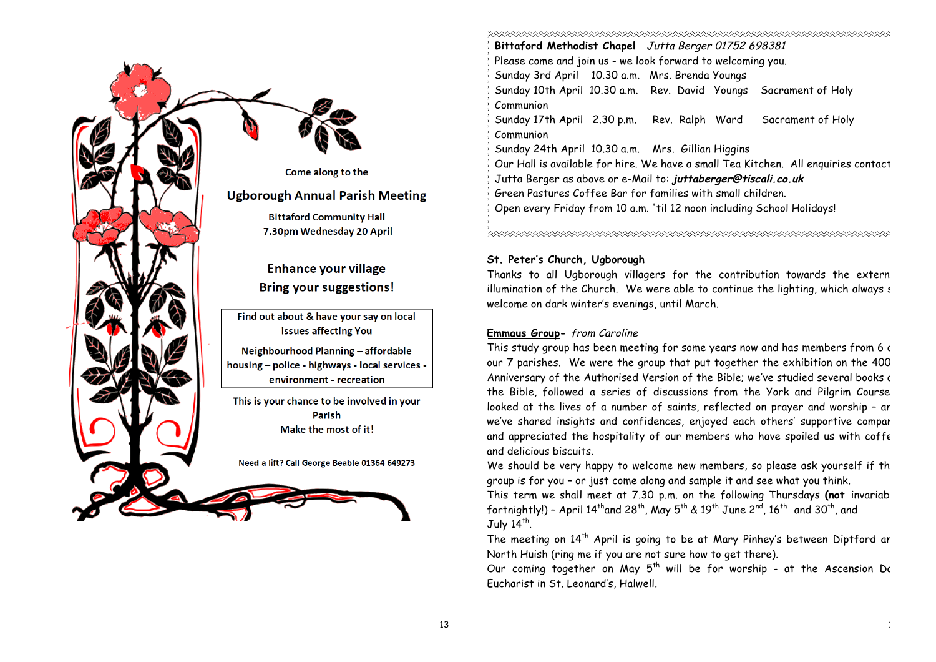

**Bittaford Methodist Chapel** Jutta Berger 01752 698381 Please come and join us - we look forward to welcoming you. Sunday 3rd April 10.30 a.m. Mrs. Brenda Youngs Sunday 10th April 10.30 a.m. Rev. David Youngs Sacrament of Holy Communion Sunday 17th April 2.30 p.m. Rev. Ralph Ward Sacrament of Holy Communion Sunday 24th April 10.30 a.m. Mrs. Gillian Higgins Our Hall is available for hire. We have a small Tea Kitchen. All enquiries contact: Jutta Berger as above or e-Mail to: **juttaberger@tiscali.co.uk** Green Pastures Coffee Bar for families with small children. Open every Friday from 10 a.m. 'til 12 noon including School Holidays! 

# **St. Peter's Church, Ugborough**

Thanks to all Ugborough villagers for the contribution towards the extern illumination of the Church. We were able to continue the lighting, which always  $\epsilon$ welcome on dark winter's evenings, until March.

## **Emmaus Group-** from Caroline

This study group has been meeting for some years now and has members from 6 c our 7 parishes. We were the group that put together the exhibition on the 400 Anniversary of the Authorised Version of the Bible; we've studied several books of the Bible, followed a series of discussions from the York and Pilgrim Course. looked at the lives of a number of saints, reflected on prayer and worship - an we've shared insights and confidences, enjoyed each others' supportive compar and appreciated the hospitality of our members who have spoiled us with coffe and delicious biscuits.

We should be very happy to welcome new members, so please ask yourself if th group is for you – or just come along and sample it and see what you think.

This term we shall meet at 7.30 p.m. on the following Thursdays **(not** invariably fortnightly!) - April  $14<sup>th</sup>$  and  $28<sup>th</sup>$ , May  $5<sup>th</sup>$  &  $19<sup>th</sup>$  June  $2<sup>nd</sup>$ ,  $16<sup>th</sup>$  and  $30<sup>th</sup>$ , and July  $14<sup>th</sup>$ .

The meeting on  $14<sup>th</sup>$  April is going to be at Mary Pinhey's between Diptford an North Huish (ring me if you are not sure how to get there).

Our coming together on May  $5<sup>th</sup>$  will be for worship - at the Ascension Dc Eucharist in St. Leonard's, Halwell.